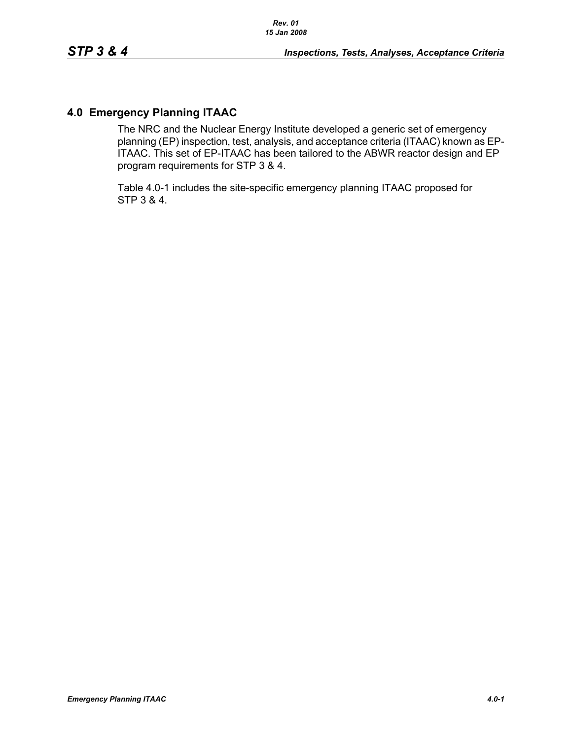# **4.0 Emergency Planning ITAAC**

The NRC and the Nuclear Energy Institute developed a generic set of emergency planning (EP) inspection, test, analysis, and acceptance criteria (ITAAC) known as EP-ITAAC. This set of EP-ITAAC has been tailored to the ABWR reactor design and EP program requirements for STP 3 & 4.

Table 4.0-1 includes the site-specific emergency planning ITAAC proposed for STP 3 & 4.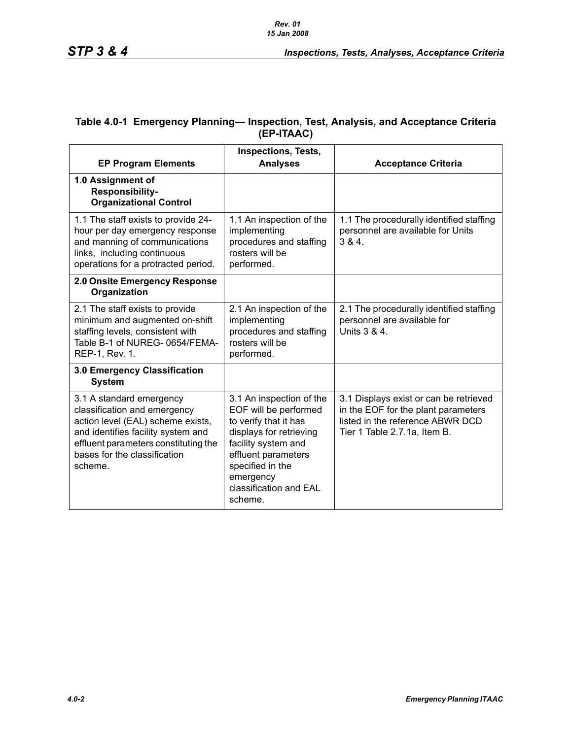| <b>EP Program Elements</b>                                                                                                                                                                                             | <b>Inspections, Tests,</b><br><b>Analyses</b>                                                                                                                                                                             | <b>Acceptance Criteria</b>                                                                                                                        |
|------------------------------------------------------------------------------------------------------------------------------------------------------------------------------------------------------------------------|---------------------------------------------------------------------------------------------------------------------------------------------------------------------------------------------------------------------------|---------------------------------------------------------------------------------------------------------------------------------------------------|
| 1.0 Assignment of<br>Responsibility-<br><b>Organizational Control</b>                                                                                                                                                  |                                                                                                                                                                                                                           |                                                                                                                                                   |
| 1.1 The staff exists to provide 24-<br>hour per day emergency response<br>and manning of communications<br>links, including continuous<br>operations for a protracted period.                                          | 1.1 An inspection of the<br>implementing<br>procedures and staffing<br>rosters will be<br>performed.                                                                                                                      | 1.1 The procedurally identified staffing<br>personnel are available for Units<br>384.                                                             |
| 2.0 Onsite Emergency Response<br>Organization                                                                                                                                                                          |                                                                                                                                                                                                                           |                                                                                                                                                   |
| 2.1 The staff exists to provide<br>minimum and augmented on-shift<br>staffing levels, consistent with<br>Table B-1 of NUREG- 0654/FEMA-<br>REP-1, Rev. 1.                                                              | 2.1 An inspection of the<br>implementing<br>procedures and staffing<br>rosters will be<br>performed.                                                                                                                      | 2.1 The procedurally identified staffing<br>personnel are available for<br>Units 3 & 4.                                                           |
| 3.0 Emergency Classification<br><b>System</b>                                                                                                                                                                          |                                                                                                                                                                                                                           |                                                                                                                                                   |
| 3.1 A standard emergency<br>classification and emergency<br>action level (EAL) scheme exists,<br>and identifies facility system and<br>effluent parameters constituting the<br>bases for the classification<br>scheme. | 3.1 An inspection of the<br>EOF will be performed<br>to verify that it has<br>displays for retrieving<br>facility system and<br>effluent parameters<br>specified in the<br>emergency<br>classification and EAL<br>scheme. | 3.1 Displays exist or can be retrieved<br>in the EOF for the plant parameters<br>listed in the reference ABWR DCD<br>Tier 1 Table 2.7.1a, Item B. |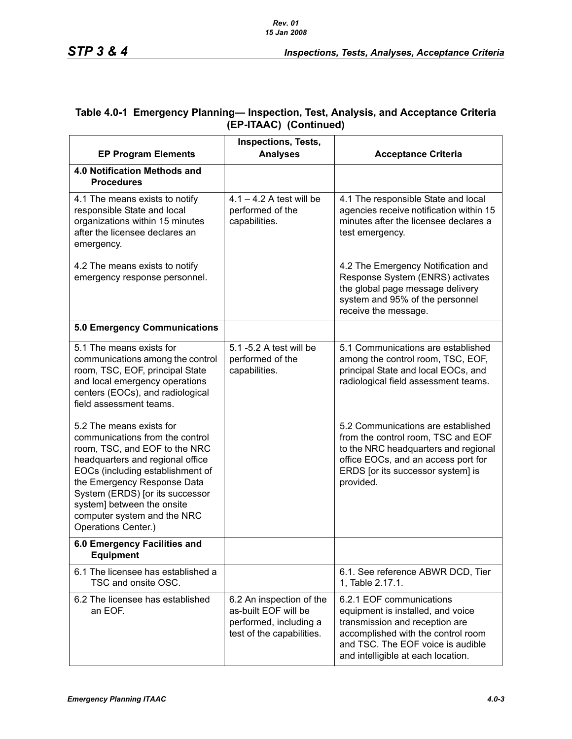|                                                                                                                                                                                                                                                                                                                            | <b>Inspections, Tests,</b>                                                                              |                                                                                                                                                                                                                  |
|----------------------------------------------------------------------------------------------------------------------------------------------------------------------------------------------------------------------------------------------------------------------------------------------------------------------------|---------------------------------------------------------------------------------------------------------|------------------------------------------------------------------------------------------------------------------------------------------------------------------------------------------------------------------|
| <b>EP Program Elements</b>                                                                                                                                                                                                                                                                                                 | <b>Analyses</b>                                                                                         | <b>Acceptance Criteria</b>                                                                                                                                                                                       |
| 4.0 Notification Methods and<br><b>Procedures</b>                                                                                                                                                                                                                                                                          |                                                                                                         |                                                                                                                                                                                                                  |
| 4.1 The means exists to notify<br>responsible State and local<br>organizations within 15 minutes<br>after the licensee declares an<br>emergency.                                                                                                                                                                           | $4.1 - 4.2$ A test will be<br>performed of the<br>capabilities.                                         | 4.1 The responsible State and local<br>agencies receive notification within 15<br>minutes after the licensee declares a<br>test emergency.                                                                       |
| 4.2 The means exists to notify<br>emergency response personnel.                                                                                                                                                                                                                                                            |                                                                                                         | 4.2 The Emergency Notification and<br>Response System (ENRS) activates<br>the global page message delivery<br>system and 95% of the personnel<br>receive the message.                                            |
| <b>5.0 Emergency Communications</b>                                                                                                                                                                                                                                                                                        |                                                                                                         |                                                                                                                                                                                                                  |
| 5.1 The means exists for<br>communications among the control<br>room, TSC, EOF, principal State<br>and local emergency operations<br>centers (EOCs), and radiological<br>field assessment teams.                                                                                                                           | 5.1 -5.2 A test will be<br>performed of the<br>capabilities.                                            | 5.1 Communications are established<br>among the control room, TSC, EOF,<br>principal State and local EOCs, and<br>radiological field assessment teams.                                                           |
| 5.2 The means exists for<br>communications from the control<br>room, TSC, and EOF to the NRC<br>headquarters and regional office<br>EOCs (including establishment of<br>the Emergency Response Data<br>System (ERDS) [or its successor<br>system] between the onsite<br>computer system and the NRC<br>Operations Center.) |                                                                                                         | 5.2 Communications are established<br>from the control room, TSC and EOF<br>to the NRC headquarters and regional<br>office EOCs, and an access port for<br>ERDS [or its successor system] is<br>provided.        |
| 6.0 Emergency Facilities and<br><b>Equipment</b>                                                                                                                                                                                                                                                                           |                                                                                                         |                                                                                                                                                                                                                  |
| 6.1 The licensee has established a<br>TSC and onsite OSC.                                                                                                                                                                                                                                                                  |                                                                                                         | 6.1. See reference ABWR DCD, Tier<br>1. Table 2.17.1.                                                                                                                                                            |
| 6.2 The licensee has established<br>an EOF.                                                                                                                                                                                                                                                                                | 6.2 An inspection of the<br>as-built EOF will be<br>performed, including a<br>test of the capabilities. | 6.2.1 EOF communications<br>equipment is installed, and voice<br>transmission and reception are<br>accomplished with the control room<br>and TSC. The EOF voice is audible<br>and intelligible at each location. |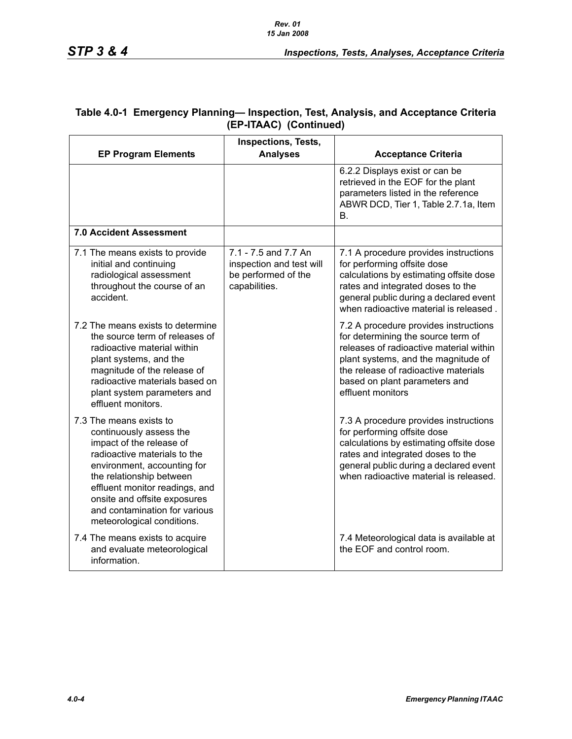|                                                                                                                                                                                                                                                                                                            | Inspections, Tests,                                                                      |                                                                                                                                                                                                                                                             |  |
|------------------------------------------------------------------------------------------------------------------------------------------------------------------------------------------------------------------------------------------------------------------------------------------------------------|------------------------------------------------------------------------------------------|-------------------------------------------------------------------------------------------------------------------------------------------------------------------------------------------------------------------------------------------------------------|--|
| <b>EP Program Elements</b>                                                                                                                                                                                                                                                                                 | <b>Analyses</b>                                                                          | <b>Acceptance Criteria</b>                                                                                                                                                                                                                                  |  |
|                                                                                                                                                                                                                                                                                                            |                                                                                          | 6.2.2 Displays exist or can be<br>retrieved in the EOF for the plant<br>parameters listed in the reference<br>ABWR DCD, Tier 1, Table 2.7.1a, Item<br>В.                                                                                                    |  |
| <b>7.0 Accident Assessment</b>                                                                                                                                                                                                                                                                             |                                                                                          |                                                                                                                                                                                                                                                             |  |
| 7.1 The means exists to provide<br>initial and continuing<br>radiological assessment<br>throughout the course of an<br>accident.                                                                                                                                                                           | 7.1 - 7.5 and 7.7 An<br>inspection and test will<br>be performed of the<br>capabilities. | 7.1 A procedure provides instructions<br>for performing offsite dose<br>calculations by estimating offsite dose<br>rates and integrated doses to the<br>general public during a declared event<br>when radioactive material is released.                    |  |
| 7.2 The means exists to determine<br>the source term of releases of<br>radioactive material within<br>plant systems, and the<br>magnitude of the release of<br>radioactive materials based on<br>plant system parameters and<br>effluent monitors.                                                         |                                                                                          | 7.2 A procedure provides instructions<br>for determining the source term of<br>releases of radioactive material within<br>plant systems, and the magnitude of<br>the release of radioactive materials<br>based on plant parameters and<br>effluent monitors |  |
| 7.3 The means exists to<br>continuously assess the<br>impact of the release of<br>radioactive materials to the<br>environment, accounting for<br>the relationship between<br>effluent monitor readings, and<br>onsite and offsite exposures<br>and contamination for various<br>meteorological conditions. |                                                                                          | 7.3 A procedure provides instructions<br>for performing offsite dose<br>calculations by estimating offsite dose<br>rates and integrated doses to the<br>general public during a declared event<br>when radioactive material is released.                    |  |
| 7.4 The means exists to acquire<br>and evaluate meteorological<br>information.                                                                                                                                                                                                                             |                                                                                          | 7.4 Meteorological data is available at<br>the EOF and control room.                                                                                                                                                                                        |  |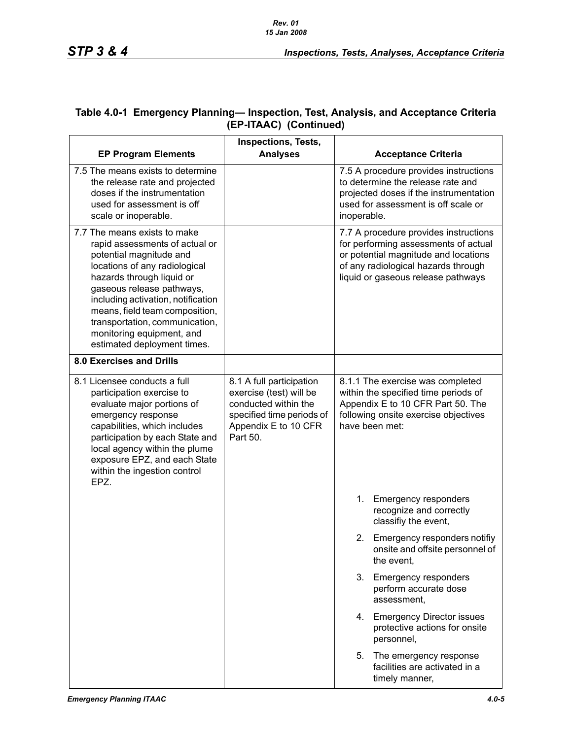| <b>EP Program Elements</b>                                                                                                                                                                                                                                                                                                                                 | Inspections, Tests,<br><b>Analyses</b>                                                                                                       | <b>Acceptance Criteria</b>                                                                                                                                                                         |
|------------------------------------------------------------------------------------------------------------------------------------------------------------------------------------------------------------------------------------------------------------------------------------------------------------------------------------------------------------|----------------------------------------------------------------------------------------------------------------------------------------------|----------------------------------------------------------------------------------------------------------------------------------------------------------------------------------------------------|
| 7.5 The means exists to determine<br>the release rate and projected<br>doses if the instrumentation<br>used for assessment is off<br>scale or inoperable.                                                                                                                                                                                                  |                                                                                                                                              | 7.5 A procedure provides instructions<br>to determine the release rate and<br>projected doses if the instrumentation<br>used for assessment is off scale or<br>inoperable.                         |
| 7.7 The means exists to make<br>rapid assessments of actual or<br>potential magnitude and<br>locations of any radiological<br>hazards through liquid or<br>gaseous release pathways,<br>including activation, notification<br>means, field team composition,<br>transportation, communication,<br>monitoring equipment, and<br>estimated deployment times. |                                                                                                                                              | 7.7 A procedure provides instructions<br>for performing assessments of actual<br>or potential magnitude and locations<br>of any radiological hazards through<br>liquid or gaseous release pathways |
| <b>8.0 Exercises and Drills</b>                                                                                                                                                                                                                                                                                                                            |                                                                                                                                              |                                                                                                                                                                                                    |
| 8.1 Licensee conducts a full<br>participation exercise to<br>evaluate major portions of<br>emergency response<br>capabilities, which includes<br>participation by each State and<br>local agency within the plume<br>exposure EPZ, and each State<br>within the ingestion control<br>EPZ.                                                                  | 8.1 A full participation<br>exercise (test) will be<br>conducted within the<br>specified time periods of<br>Appendix E to 10 CFR<br>Part 50. | 8.1.1 The exercise was completed<br>within the specified time periods of<br>Appendix E to 10 CFR Part 50. The<br>following onsite exercise objectives<br>have been met:                            |
|                                                                                                                                                                                                                                                                                                                                                            |                                                                                                                                              | 1.<br><b>Emergency responders</b><br>recognize and correctly<br>classifiy the event,                                                                                                               |
|                                                                                                                                                                                                                                                                                                                                                            |                                                                                                                                              | Emergency responders notifiy<br>2.<br>onsite and offsite personnel of<br>the event,                                                                                                                |
|                                                                                                                                                                                                                                                                                                                                                            |                                                                                                                                              | <b>Emergency responders</b><br>3.<br>perform accurate dose<br>assessment,                                                                                                                          |
|                                                                                                                                                                                                                                                                                                                                                            |                                                                                                                                              | <b>Emergency Director issues</b><br>4.<br>protective actions for onsite<br>personnel,                                                                                                              |
|                                                                                                                                                                                                                                                                                                                                                            |                                                                                                                                              | The emergency response<br>5.<br>facilities are activated in a<br>timely manner,                                                                                                                    |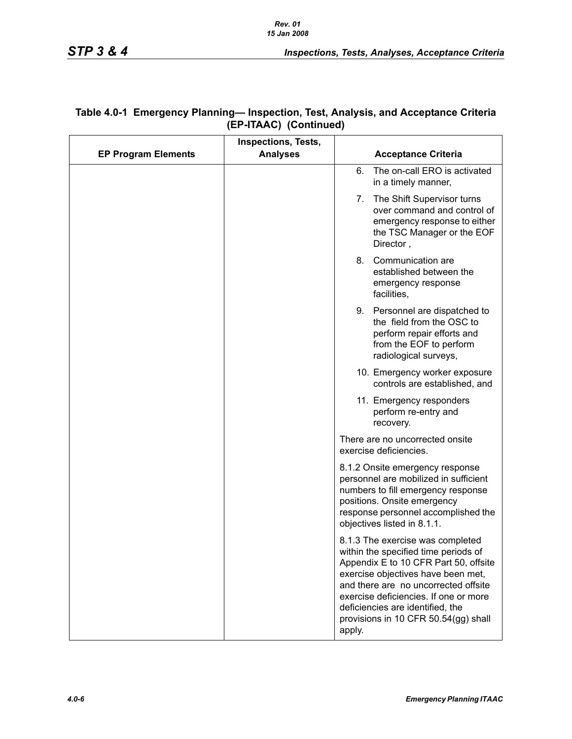|                            | <b>Inspections, Tests,</b> |                                                                                                                                                                                                                                                                                                                                |
|----------------------------|----------------------------|--------------------------------------------------------------------------------------------------------------------------------------------------------------------------------------------------------------------------------------------------------------------------------------------------------------------------------|
| <b>EP Program Elements</b> | <b>Analyses</b>            | <b>Acceptance Criteria</b>                                                                                                                                                                                                                                                                                                     |
|                            |                            | 6.<br>The on-call ERO is activated<br>in a timely manner,                                                                                                                                                                                                                                                                      |
|                            |                            | The Shift Supervisor turns<br>7.<br>over command and control of<br>emergency response to either<br>the TSC Manager or the EOF<br>Director,                                                                                                                                                                                     |
|                            |                            | 8.<br>Communication are<br>established between the<br>emergency response<br>facilities,                                                                                                                                                                                                                                        |
|                            |                            | 9.<br>Personnel are dispatched to<br>the field from the OSC to<br>perform repair efforts and<br>from the EOF to perform<br>radiological surveys,                                                                                                                                                                               |
|                            |                            | 10. Emergency worker exposure<br>controls are established, and                                                                                                                                                                                                                                                                 |
|                            |                            | 11. Emergency responders<br>perform re-entry and<br>recovery.                                                                                                                                                                                                                                                                  |
|                            |                            | There are no uncorrected onsite<br>exercise deficiencies.                                                                                                                                                                                                                                                                      |
|                            |                            | 8.1.2 Onsite emergency response<br>personnel are mobilized in sufficient<br>numbers to fill emergency response<br>positions. Onsite emergency<br>response personnel accomplished the<br>objectives listed in 8.1.1.                                                                                                            |
|                            |                            | 8.1.3 The exercise was completed<br>within the specified time periods of<br>Appendix E to 10 CFR Part 50, offsite<br>exercise objectives have been met,<br>and there are no uncorrected offsite<br>exercise deficiencies. If one or more<br>deficiencies are identified, the<br>provisions in 10 CFR 50.54(gg) shall<br>apply. |